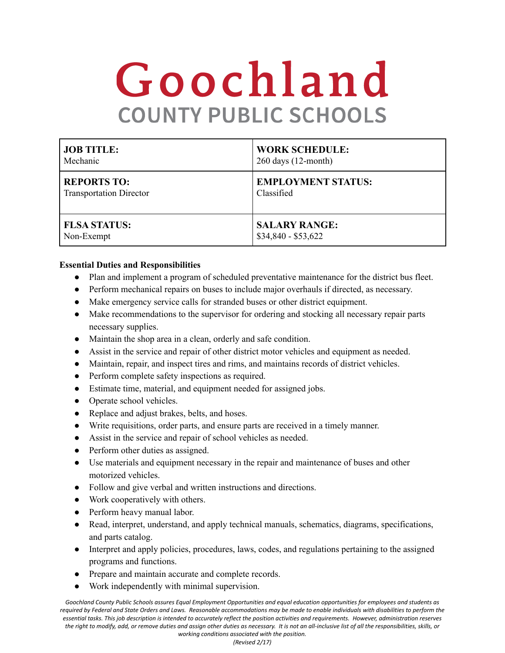# Goochland **COUNTY PUBLIC SCHOOLS**

| <b>JOB TITLE:</b>              | <b>WORK SCHEDULE:</b>         |
|--------------------------------|-------------------------------|
| Mechanic                       | $260 \text{ days}$ (12-month) |
| <b>REPORTS TO:</b>             | <b>EMPLOYMENT STATUS:</b>     |
| <b>Transportation Director</b> | Classified                    |
| <b>FLSA STATUS:</b>            | <b>SALARY RANGE:</b>          |
| Non-Exempt                     | $$34,840 - $53,622$           |

#### **Essential Duties and Responsibilities**

- Plan and implement a program of scheduled preventative maintenance for the district bus fleet.
- Perform mechanical repairs on buses to include major overhauls if directed, as necessary.
- Make emergency service calls for stranded buses or other district equipment.
- Make recommendations to the supervisor for ordering and stocking all necessary repair parts necessary supplies.
- Maintain the shop area in a clean, orderly and safe condition.
- Assist in the service and repair of other district motor vehicles and equipment as needed.
- Maintain, repair, and inspect tires and rims, and maintains records of district vehicles.
- Perform complete safety inspections as required.
- Estimate time, material, and equipment needed for assigned jobs.
- Operate school vehicles.
- Replace and adjust brakes, belts, and hoses.
- Write requisitions, order parts, and ensure parts are received in a timely manner.
- Assist in the service and repair of school vehicles as needed.
- Perform other duties as assigned.
- Use materials and equipment necessary in the repair and maintenance of buses and other motorized vehicles.
- Follow and give verbal and written instructions and directions.
- Work cooperatively with others.
- Perform heavy manual labor.
- Read, interpret, understand, and apply technical manuals, schematics, diagrams, specifications, and parts catalog.
- Interpret and apply policies, procedures, laws, codes, and regulations pertaining to the assigned programs and functions.
- Prepare and maintain accurate and complete records.
- Work independently with minimal supervision.

Goochland County Public Schools assures Equal Employment Opportunities and equal education opportunities for employees and students as required by Federal and State Orders and Laws. Reasonable accommodations may be made to enable individuals with disabilities to perform the essential tasks. This job description is intended to accurately reflect the position activities and requirements. However, administration reserves the right to modify, add, or remove duties and assign other duties as necessary. It is not an all-inclusive list of all the responsibilities, skills, or *working conditions associated with the position.*

*(Revised 2/17)*